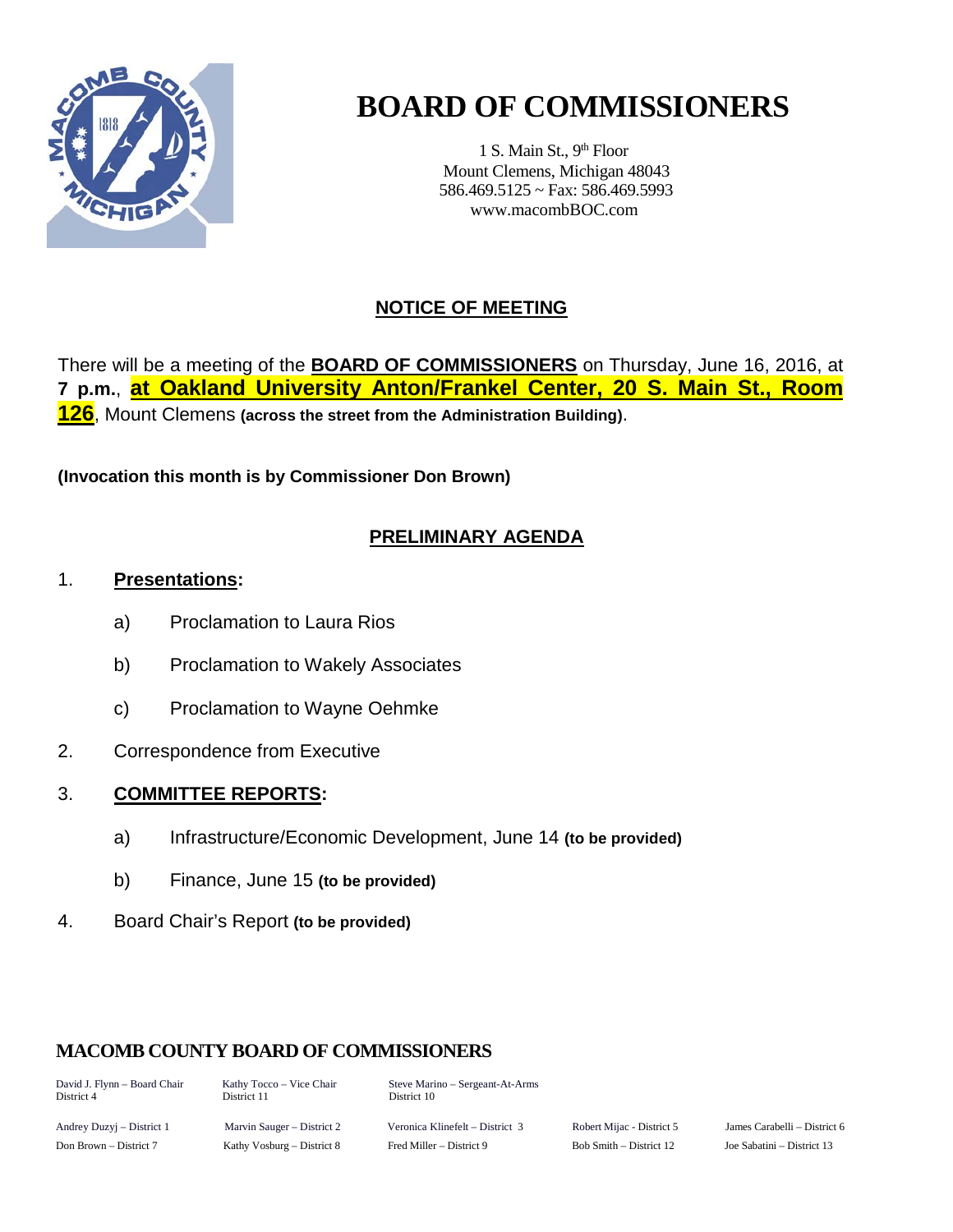

# **BOARD OF COMMISSIONERS**

1 S. Main St., 9<sup>th</sup> Floor Mount Clemens, Michigan 48043 586.469.5125 ~ Fax: 586.469.5993 www.macombBOC.com

# **NOTICE OF MEETING**

There will be a meeting of the **BOARD OF COMMISSIONERS** on Thursday, June 16, 2016, at **7 p.m.**, **at Oakland University Anton/Frankel Center, 20 S. Main St., Room 126**, Mount Clemens **(across the street from the Administration Building)**.

**(Invocation this month is by Commissioner Don Brown)**

# **PRELIMINARY AGENDA**

## 1. **Presentations:**

- a) Proclamation to Laura Rios
- b) Proclamation to Wakely Associates
- c) Proclamation to Wayne Oehmke
- 2. Correspondence from Executive

# 3. **COMMITTEE REPORTS:**

- a) Infrastructure/Economic Development, June 14 **(to be provided)**
- b) Finance, June 15 **(to be provided)**
- 4. Board Chair's Report **(to be provided)**

# **MACOMB COUNTY BOARD OF COMMISSIONERS**

District 4 District 11 District 10

David J. Flynn – Board Chair Kathy Tocco – Vice Chair Steve Marino – Sergeant-At-Arms

Andrey Duzyj – District 1 Marvin Sauger – District 2 Veronica Klinefelt – District 3 Robert Mijac - District 5 James Carabelli – District 6 Don Brown – District 7 Kathy Vosburg – District 8 Fred Miller – District 9 Bob Smith – District 12 Joe Sabatini – District 13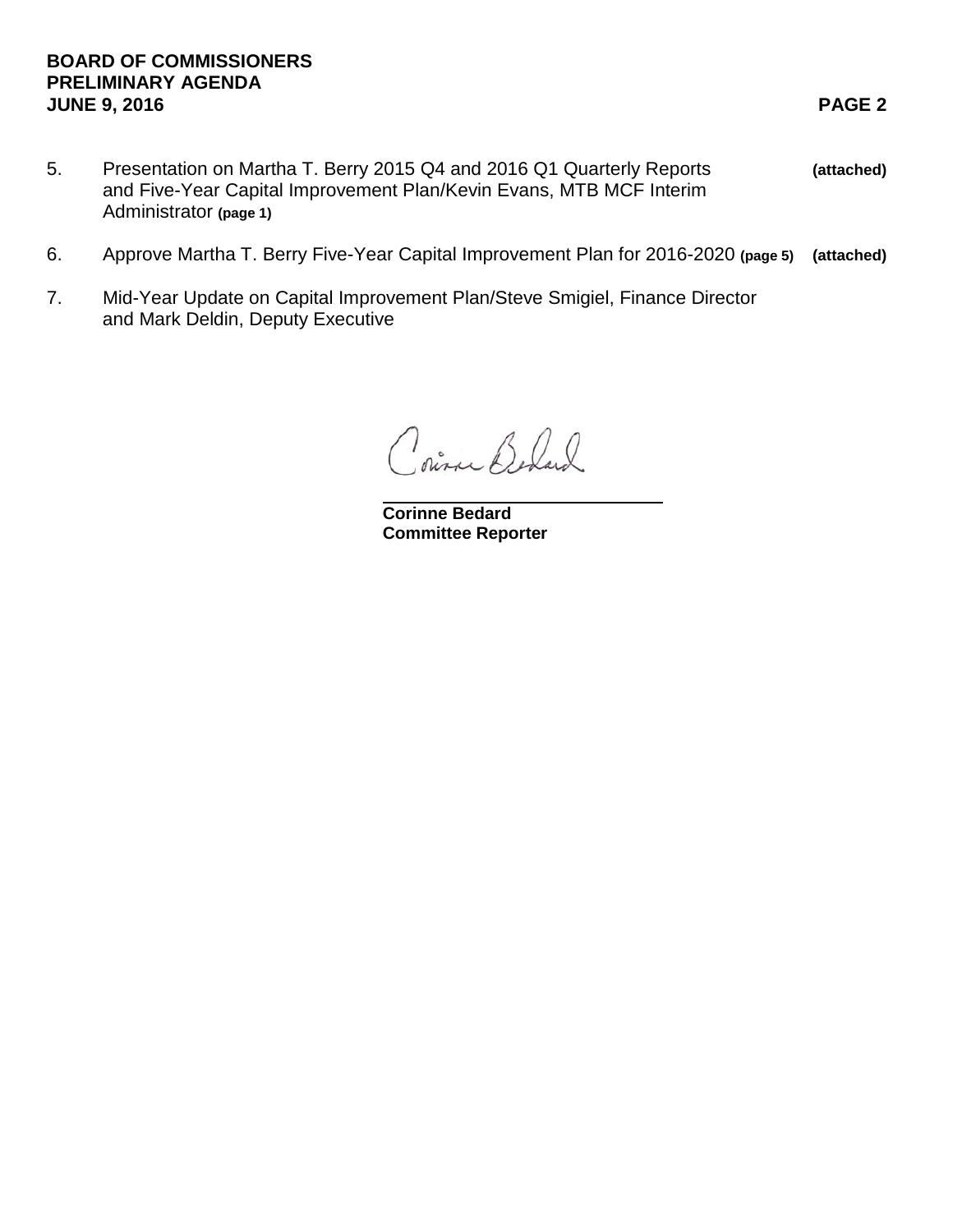## **BOARD OF COMMISSIONERS PRELIMINARY AGENDA JUNE 9, 2016 PAGE 2**

- 5. Presentation on Martha T. Berry 2015 Q4 and 2016 Q1 Quarterly Reports **(attached)** and Five-Year Capital Improvement Plan/Kevin Evans, MTB MCF Interim Administrator **(page 1)**
- 6. Approve Martha T. Berry Five-Year Capital Improvement Plan for 2016-2020 **(page 5) (attached)**
- 7. Mid-Year Update on Capital Improvement Plan/Steve Smigiel, Finance Director and Mark Deldin, Deputy Executive

Coince Beland

**Corinne Bedard Committee Reporter**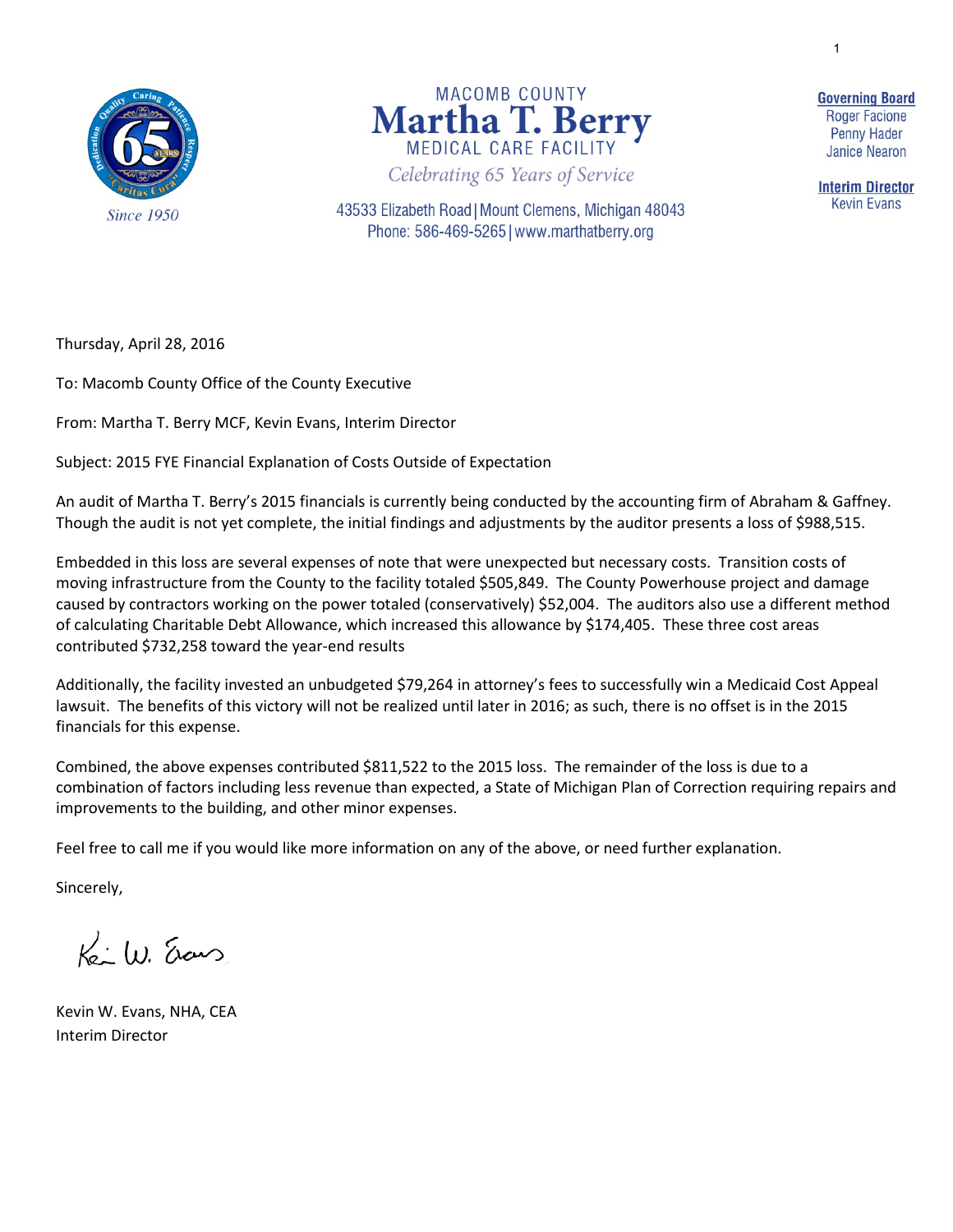1

**Since 1950** 



43533 Elizabeth Road | Mount Clemens, Michigan 48043 Phone: 586-469-5265 | www.marthatberry.org

**Governing Board Roger Facione Penny Hader Janice Nearon** 

**Interim Director Kevin Evans** 

Thursday, April 28, 2016

To: Macomb County Office of the County Executive

From: Martha T. Berry MCF, Kevin Evans, Interim Director

Subject: 2015 FYE Financial Explanation of Costs Outside of Expectation

An audit of Martha T. Berry's 2015 financials is currently being conducted by the accounting firm of Abraham & Gaffney. Though the audit is not yet complete, the initial findings and adjustments by the auditor presents a loss of \$988,515.

Embedded in this loss are several expenses of note that were unexpected but necessary costs. Transition costs of moving infrastructure from the County to the facility totaled \$505,849. The County Powerhouse project and damage caused by contractors working on the power totaled (conservatively) \$52,004. The auditors also use a different method of calculating Charitable Debt Allowance, which increased this allowance by \$174,405. These three cost areas contributed \$732,258 toward the year-end results

Additionally, the facility invested an unbudgeted \$79,264 in attorney's fees to successfully win a Medicaid Cost Appeal lawsuit. The benefits of this victory will not be realized until later in 2016; as such, there is no offset is in the 2015 financials for this expense.

Combined, the above expenses contributed \$811,522 to the 2015 loss. The remainder of the loss is due to a combination of factors including less revenue than expected, a State of Michigan Plan of Correction requiring repairs and improvements to the building, and other minor expenses.

Feel free to call me if you would like more information on any of the above, or need further explanation.

Sincerely,

 $K_0: (1)$ , Erans

Kevin W. Evans, NHA, CEA Interim Director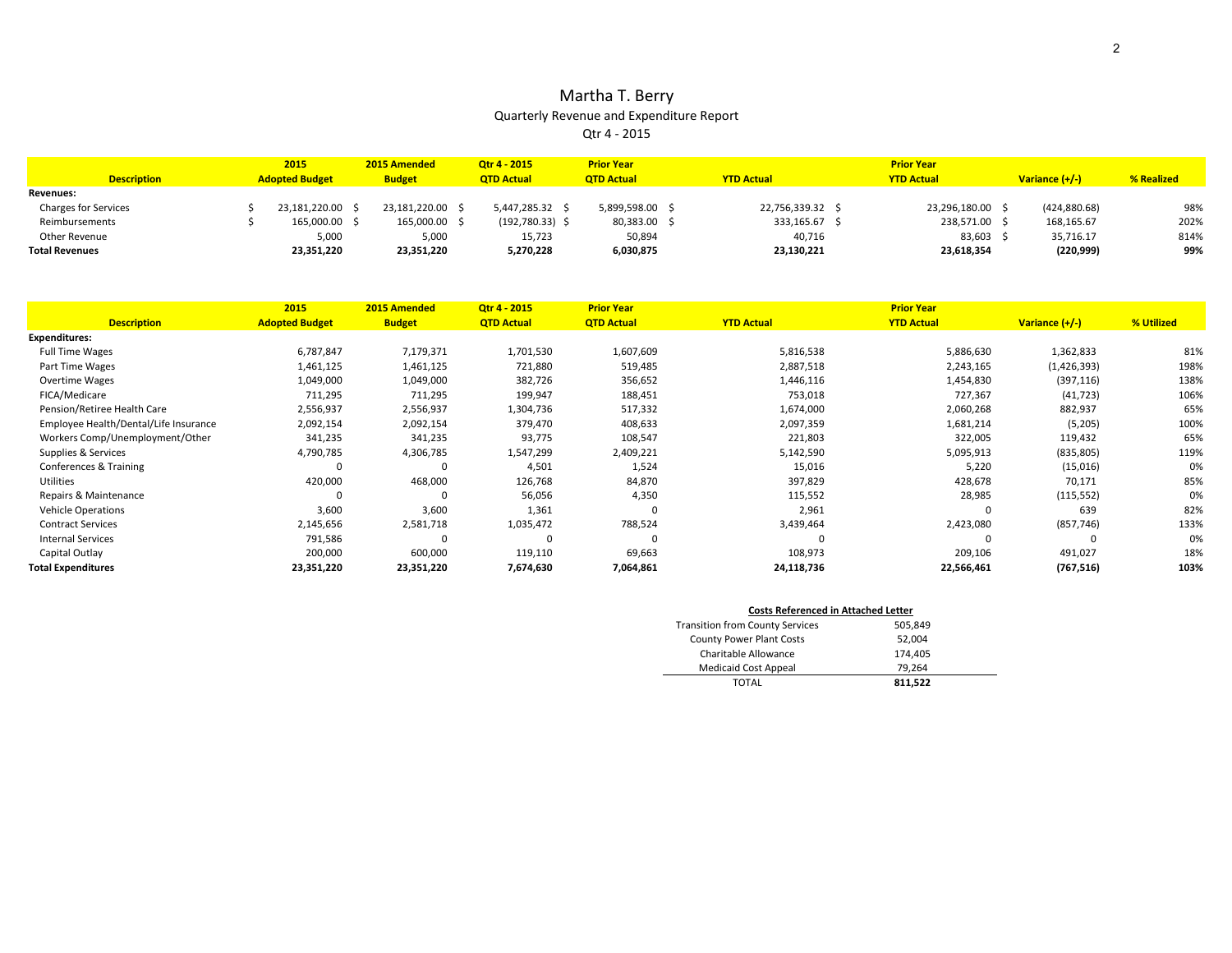#### Martha T. Berry Quarterly Revenue and Expenditure Report Qtr 4 - 2015

| <b>Description</b>          | 2015<br><b>Adopted Budget</b> | 2015 Amended<br><b>Budget</b> | Otr 4 - 2015<br><b>QTD Actual</b> | <b>Prior Year</b><br><b>QTD Actual</b> | <b>YTD Actual</b> | <b>Prior Year</b><br><b>YTD Actual</b> | Variance $(+/-)$ | % Realized |
|-----------------------------|-------------------------------|-------------------------------|-----------------------------------|----------------------------------------|-------------------|----------------------------------------|------------------|------------|
| <b>Revenues:</b>            |                               |                               |                                   |                                        |                   |                                        |                  |            |
| <b>Charges for Services</b> | 23.181.220.00 \$              | 23.181.220.00                 | 5,447,285.32 \$                   | 5.899.598.00 \$                        | 22,756,339.32     | 23.296.180.00                          | (424, 880.68)    | 98%        |
| Reimbursements              | 165,000,00 \$                 | 165.000.00                    | $(192,780.33)$ \$                 | 80,383.00 \$                           | 333,165.67        | 238.571.00                             | 168,165.67       | 202%       |
| Other Revenue               | 5,000                         | 5,000                         | 15,723                            | 50.894                                 | 40,716            | 83,603                                 | 35.716.17        | 814%       |
| <b>Total Revenues</b>       | 23,351,220                    | 23,351,220                    | 5,270,228                         | 6,030,875                              | 23,130,221        | 23,618,354                             | (220, 999)       | 99%        |

|                                       | 2015                  | 2015 Amended  | Otr 4 - 2015      | <b>Prior Year</b> |                   | <b>Prior Year</b> |                |            |
|---------------------------------------|-----------------------|---------------|-------------------|-------------------|-------------------|-------------------|----------------|------------|
| <b>Description</b>                    | <b>Adopted Budget</b> | <b>Budget</b> | <b>QTD Actual</b> | <b>QTD Actual</b> | <b>YTD Actual</b> | <b>YTD Actual</b> | Variance (+/-) | % Utilized |
| <b>Expenditures:</b>                  |                       |               |                   |                   |                   |                   |                |            |
| <b>Full Time Wages</b>                | 6,787,847             | 7,179,371     | 1,701,530         | 1,607,609         | 5,816,538         | 5,886,630         | 1,362,833      | 81%        |
| Part Time Wages                       | 1,461,125             | 1,461,125     | 721,880           | 519,485           | 2,887,518         | 2,243,165         | (1,426,393)    | 198%       |
| <b>Overtime Wages</b>                 | 1,049,000             | 1,049,000     | 382,726           | 356,652           | 1,446,116         | 1,454,830         | (397, 116)     | 138%       |
| FICA/Medicare                         | 711,295               | 711,295       | 199,947           | 188,451           | 753,018           | 727,367           | (41, 723)      | 106%       |
| Pension/Retiree Health Care           | 2,556,937             | 2,556,937     | 1,304,736         | 517,332           | 1,674,000         | 2,060,268         | 882,937        | 65%        |
| Employee Health/Dental/Life Insurance | 2,092,154             | 2,092,154     | 379,470           | 408,633           | 2,097,359         | 1,681,214         | (5,205)        | 100%       |
| Workers Comp/Unemployment/Other       | 341,235               | 341,235       | 93,775            | 108,547           | 221,803           | 322,005           | 119,432        | 65%        |
| Supplies & Services                   | 4,790,785             | 4,306,785     | 1,547,299         | 2,409,221         | 5,142,590         | 5,095,913         | (835, 805)     | 119%       |
| Conferences & Training                |                       |               | 4,501             | 1,524             | 15,016            | 5,220             | (15,016)       | 0%         |
| Utilities                             | 420,000               | 468,000       | 126,768           | 84,870            | 397,829           | 428,678           | 70,171         | 85%        |
| Repairs & Maintenance                 |                       |               | 56,056            | 4,350             | 115,552           | 28,985            | (115, 552)     | 0%         |
| <b>Vehicle Operations</b>             | 3,600                 | 3,600         | 1,361             | $\Omega$          | 2,961             |                   | 639            | 82%        |
| <b>Contract Services</b>              | 2,145,656             | 2,581,718     | 1,035,472         | 788,524           | 3,439,464         | 2,423,080         | (857, 746)     | 133%       |
| <b>Internal Services</b>              | 791,586               |               |                   |                   |                   |                   | $\Omega$       | 0%         |
| Capital Outlay                        | 200,000               | 600,000       | 119,110           | 69,663            | 108,973           | 209,106           | 491,027        | 18%        |
| <b>Total Expenditures</b>             | 23,351,220            | 23,351,220    | 7,674,630         | 7,064,861         | 24,118,736        | 22,566,461        | (767, 516)     | 103%       |

| <b>Costs Referenced in Attached Letter</b> |         |  |  |  |  |  |  |  |
|--------------------------------------------|---------|--|--|--|--|--|--|--|
| <b>Transition from County Services</b>     | 505,849 |  |  |  |  |  |  |  |
| <b>County Power Plant Costs</b>            | 52,004  |  |  |  |  |  |  |  |
| Charitable Allowance                       | 174,405 |  |  |  |  |  |  |  |
| <b>Medicaid Cost Appeal</b>                | 79.264  |  |  |  |  |  |  |  |
| TOTAL                                      | 811.522 |  |  |  |  |  |  |  |

÷.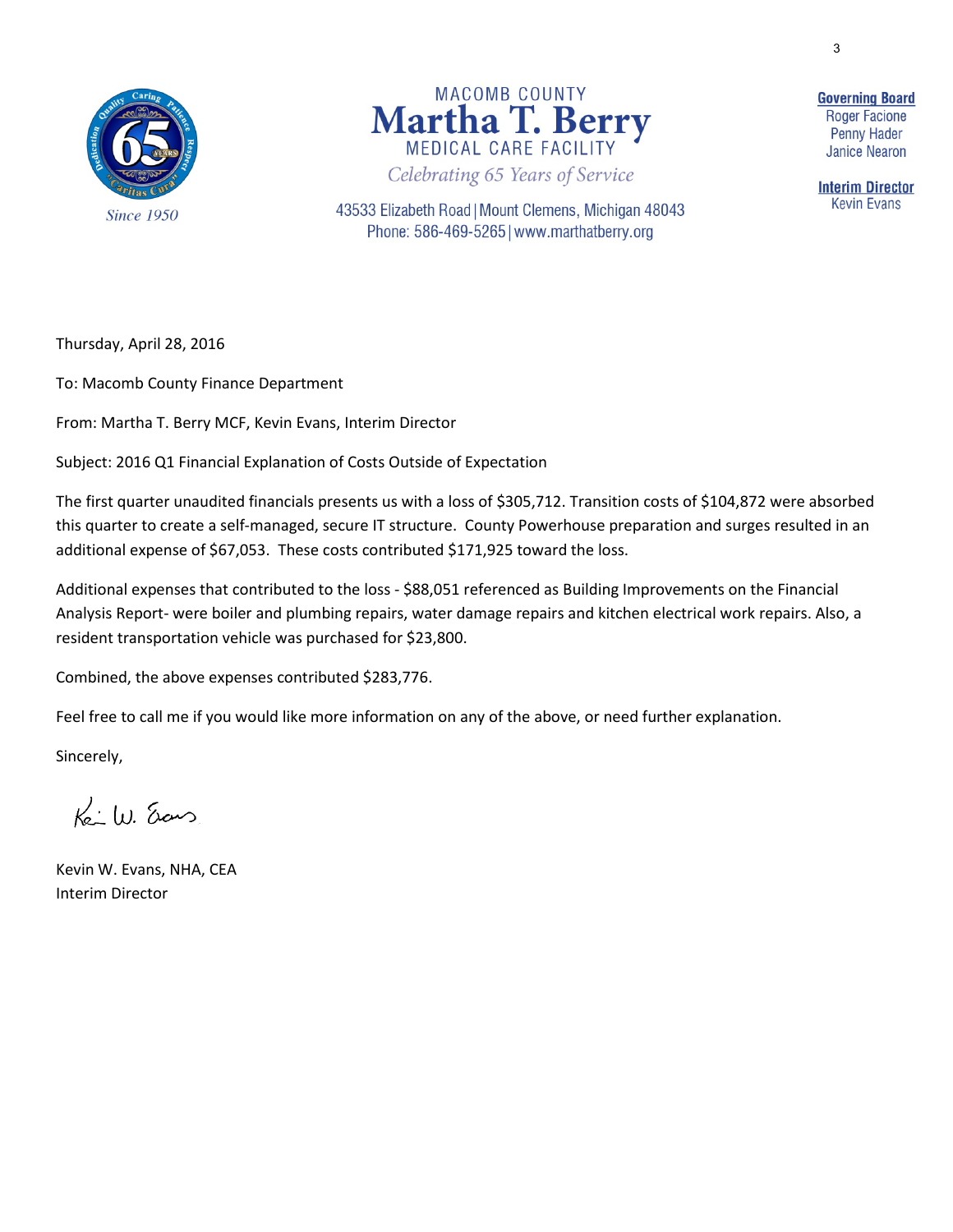3





43533 Elizabeth Road | Mount Clemens, Michigan 48043 Phone: 586-469-5265 | www.marthatberry.org

**Governing Board Roger Facione Penny Hader Janice Nearon** 

**Interim Director Kevin Evans** 

Thursday, April 28, 2016

To: Macomb County Finance Department

From: Martha T. Berry MCF, Kevin Evans, Interim Director

Subject: 2016 Q1 Financial Explanation of Costs Outside of Expectation

The first quarter unaudited financials presents us with a loss of \$305,712. Transition costs of \$104,872 were absorbed this quarter to create a self-managed, secure IT structure. County Powerhouse preparation and surges resulted in an additional expense of \$67,053. These costs contributed \$171,925 toward the loss.

Additional expenses that contributed to the loss - \$88,051 referenced as Building Improvements on the Financial Analysis Report- were boiler and plumbing repairs, water damage repairs and kitchen electrical work repairs. Also, a resident transportation vehicle was purchased for \$23,800.

Combined, the above expenses contributed \$283,776.

Feel free to call me if you would like more information on any of the above, or need further explanation.

Sincerely,

 $K_0:W$  ans

Kevin W. Evans, NHA, CEA Interim Director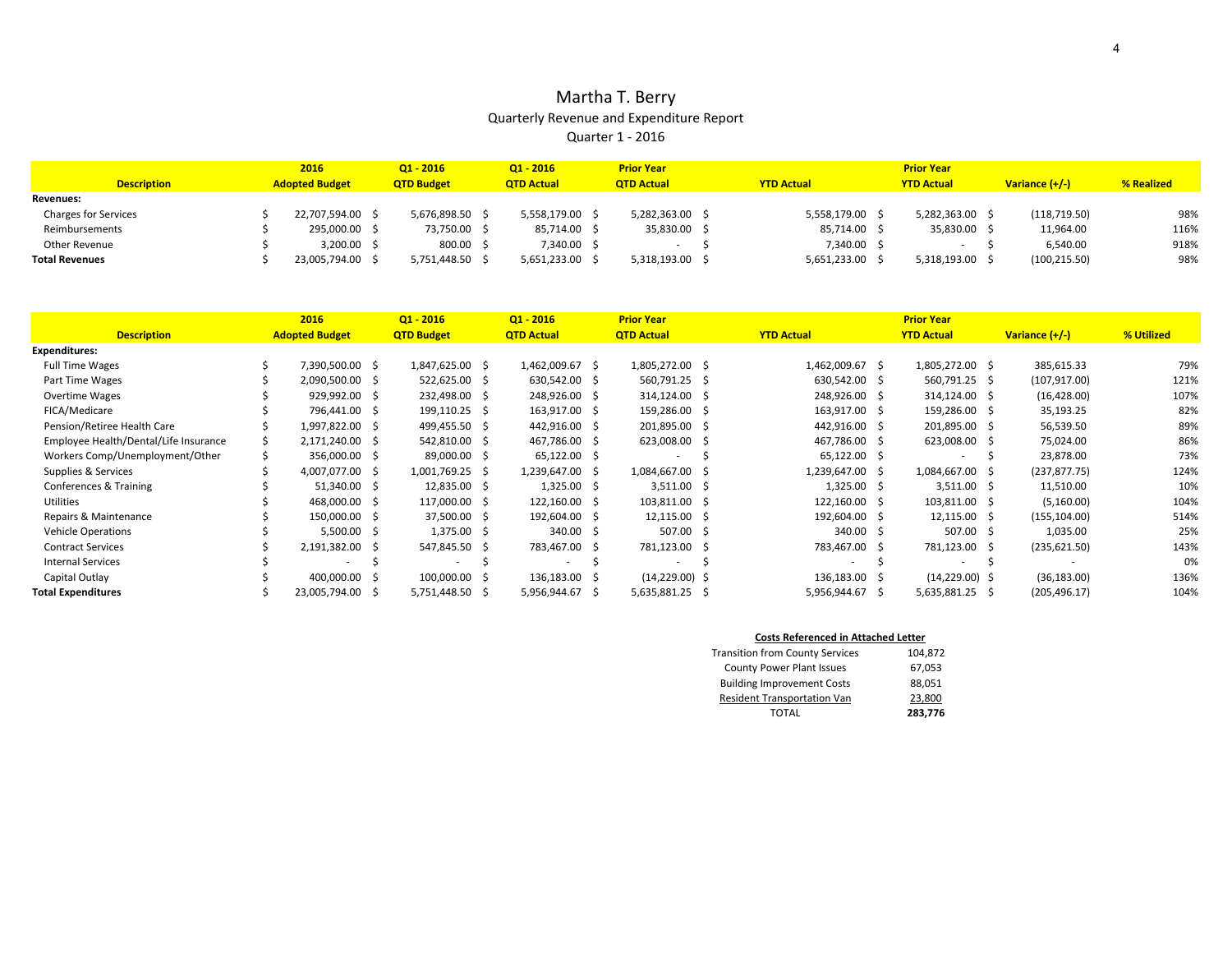## Martha T. Berry Quarterly Revenue and Expenditure Report Quarter 1 - 2016

|                             | 2016                  | $Q1 - 2016$       | $Q1 - 2016$       | <b>Prior Year</b>        |                   | <b>Prior Year</b> |                |            |
|-----------------------------|-----------------------|-------------------|-------------------|--------------------------|-------------------|-------------------|----------------|------------|
| <b>Description</b>          | <b>Adopted Budget</b> | <b>QTD Budget</b> | <b>QTD Actual</b> | <b>OTD Actual</b>        | <b>YTD Actual</b> | <b>YTD Actual</b> | Variance (+/-) | % Realized |
| <b>Revenues:</b>            |                       |                   |                   |                          |                   |                   |                |            |
| <b>Charges for Services</b> | 22.707.594.00 \$      | 5,676,898.50      | 5,558,179.00      | 5,282,363.00 \$          | 5.558.179.00      | 5,282,363.00      | (118, 719.50)  | 98%        |
| Reimbursements              | 295,000.00 :          | 73,750.00 \$      | 85,714.00         | 35,830.00 \$             | 85,714.00         | 35,830.00 \$      | 11,964.00      | 116%       |
| Other Revenue               | 3,200.00 \$           | 800.00 \$         | 7,340.00          | $\overline{\phantom{a}}$ | 7,340.00          |                   | 6.540.00       | 918%       |
| <b>Total Revenues</b>       | 23,005,794.00 \$      | 5,751,448.50      | 5,651,233.00      | 5,318,193.00 \$          | 5,651,233.00      | 5.318.193.00      | (100, 215.50)  | 98%        |

|                                       | 2016                  | $Q1 - 2016$       |    | $Q1 - 2016$       |    | <b>Prior Year</b> |     |                   |    | <b>Prior Year</b> |                |            |
|---------------------------------------|-----------------------|-------------------|----|-------------------|----|-------------------|-----|-------------------|----|-------------------|----------------|------------|
| <b>Description</b>                    | <b>Adopted Budget</b> | <b>QTD Budget</b> |    | <b>QTD Actual</b> |    | <b>QTD Actual</b> |     | <b>YTD Actual</b> |    | <b>YTD Actual</b> | Variance (+/-) | % Utilized |
| <b>Expenditures:</b>                  |                       |                   |    |                   |    |                   |     |                   |    |                   |                |            |
| <b>Full Time Wages</b>                | 7,390,500.00 \$       | 1,847,625.00 \$   |    | 1,462,009.67 \$   |    | 1,805,272.00 \$   |     | 1,462,009.67 \$   |    | 1,805,272.00 \$   | 385,615.33     | 79%        |
| Part Time Wages                       | 2,090,500.00 \$       | 522,625.00 \$     |    | 630,542.00 \$     |    | 560,791.25        | - S | 630,542.00 \$     |    | 560,791.25 \$     | (107, 917.00)  | 121%       |
| <b>Overtime Wages</b>                 | 929,992.00 \$         | 232,498.00 \$     |    | 248,926.00 \$     |    | 314,124.00        | - S | 248,926.00 \$     |    | 314,124.00 \$     | (16, 428.00)   | 107%       |
| FICA/Medicare                         | 796,441.00 \$         | 199,110.25 \$     |    | 163,917.00 \$     |    | 159,286.00        | - S | 163,917.00 \$     |    | 159,286.00 \$     | 35,193.25      | 82%        |
| Pension/Retiree Health Care           | 1,997,822.00 \$       | 499,455.50 \$     |    | 442,916.00 \$     |    | 201,895.00        | - 5 | 442,916.00 \$     |    | 201,895.00 \$     | 56,539.50      | 89%        |
| Employee Health/Dental/Life Insurance | 2,171,240.00 \$       | 542,810.00 \$     |    | 467,786.00 \$     |    | 623,008.00 \$     |     | 467,786.00 \$     |    | 623,008.00 \$     | 75,024.00      | 86%        |
| Workers Comp/Unemployment/Other       | 356,000.00 \$         | 89,000.00 \$      |    | 65,122.00 \$      |    | ٠                 |     | 65,122.00 \$      |    |                   | 23,878.00      | 73%        |
| Supplies & Services                   | 4,007,077.00 \$       | 1,001,769.25 \$   |    | 1,239,647.00 \$   |    | 1,084,667.00 \$   |     | 1,239,647.00 \$   |    | 1,084,667.00 \$   | (237, 877.75)  | 124%       |
| Conferences & Training                | 51,340.00 \$          | 12,835.00 \$      |    | $1,325.00$ \$     |    | $3,511.00$ \$     |     | $1,325.00$ \$     |    | $3,511.00$ \$     | 11,510.00      | 10%        |
| Utilities                             | 468,000.00 \$         | 117,000.00 \$     |    | 122,160.00 \$     |    | 103,811.00 \$     |     | 122,160.00 \$     |    | 103,811.00 \$     | (5, 160.00)    | 104%       |
| Repairs & Maintenance                 | 150,000.00 \$         | 37,500.00 \$      |    | 192,604.00 \$     |    | 12,115.00 \$      |     | 192,604.00 \$     |    | 12,115.00 \$      | (155, 104.00)  | 514%       |
| <b>Vehicle Operations</b>             | $5,500.00$ \$         | 1,375.00 \$       |    | 340.00 \$         |    | 507.00 \$         |     | 340.00 \$         |    | 507.00 \$         | 1,035.00       | 25%        |
| <b>Contract Services</b>              | 2,191,382.00 \$       | 547,845.50        | -S | 783,467.00        | -S | 781,123.00 \$     |     | 783,467.00        | -S | 781,123.00 \$     | (235, 621.50)  | 143%       |
| <b>Internal Services</b>              |                       |                   |    | ÷.                |    | ٠                 |     |                   |    |                   |                | 0%         |
| Capital Outlay                        | 400,000.00 \$         | 100,000.00        |    | 136,183.00        |    | $(14,229.00)$ \$  |     | 136,183.00 \$     |    | $(14,229.00)$ \$  | (36, 183.00)   | 136%       |
| <b>Total Expenditures</b>             | 23,005,794.00 \$      | 5,751,448.50      | -S | 5,956,944.67      | -S | 5,635,881.25      | 5   | 5,956,944.67      | -S | 5,635,881.25 \$   | (205, 496.17)  | 104%       |

#### **Costs Referenced in Attached Letter**

| <b>Transition from County Services</b> | 104,872 |
|----------------------------------------|---------|
| <b>County Power Plant Issues</b>       | 67,053  |
| <b>Building Improvement Costs</b>      | 88,051  |
| <b>Resident Transportation Van</b>     | 23,800  |
| <b>TOTAL</b>                           | 283,776 |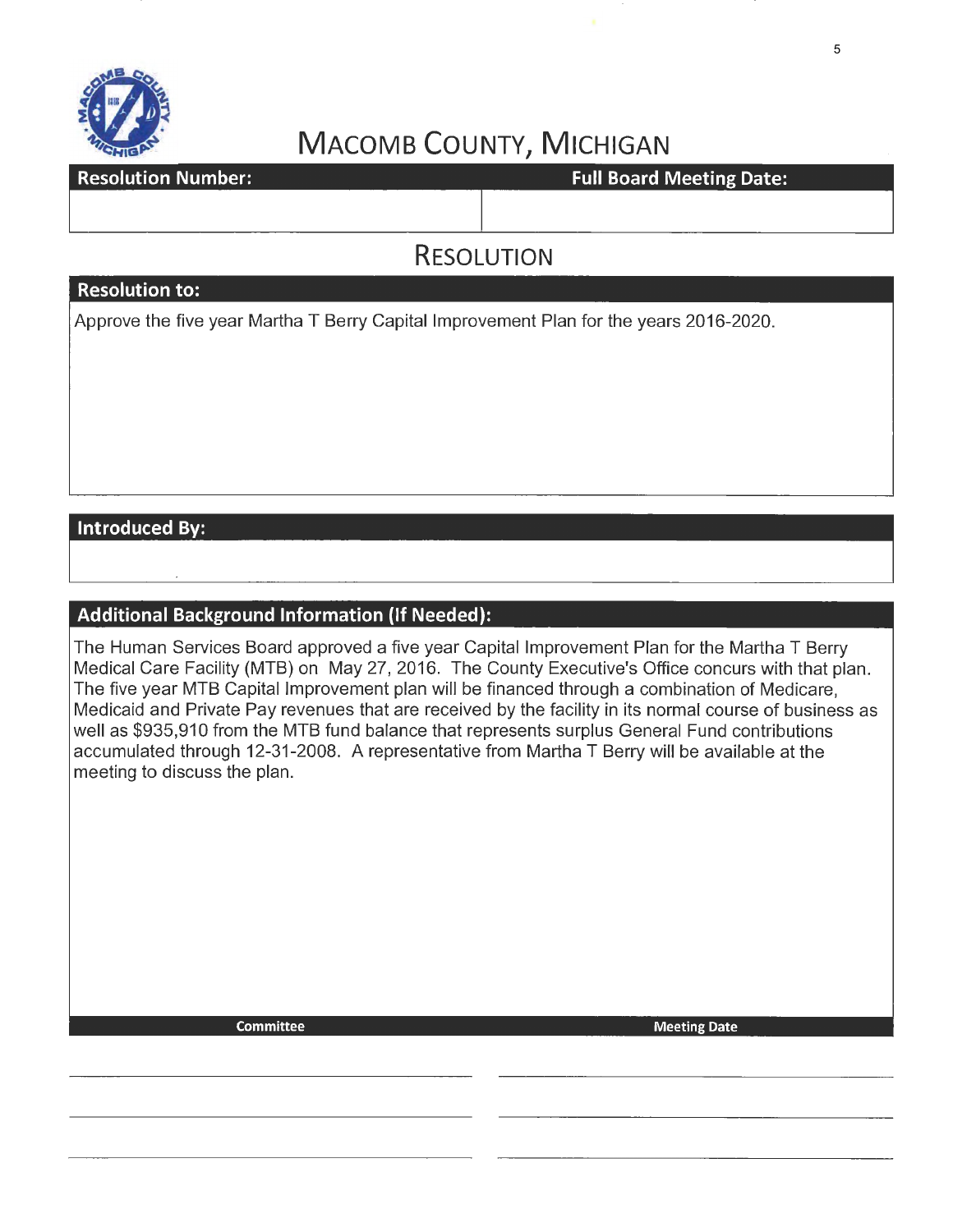

# **MACOMB COUNTY, MICHIGAN**

**Resolution Number:** 

**Full Board Meeting Date:** 

# **RESOLUTION**

## **Resolution to:**

Approve the five year Martha T Berry Capital Improvement Plan for the years 2016-2020.

## **Introduced By:**

## **Additional Background Information (If Needed):**

The Human Services Board approved a five year Capital Improvement Plan for the Martha T Berry Medical Care Facility (MTB) on May 27, 2016. The County Executive's Office concurs with that plan. The five year MTB Capital Improvement plan will be financed through a combination of Medicare, Medicaid and Private Pay revenues that are received by the facility in its normal course of business as well as \$935,910 from the MTB fund balance that represents surplus General Fund contributions accumulated through 12-31-2008. A representative from Martha T Berry will be available at the meeting to discuss the plan.

Committee Meeting Date of the Meeting Date of the Meeting Date of the Meeting Date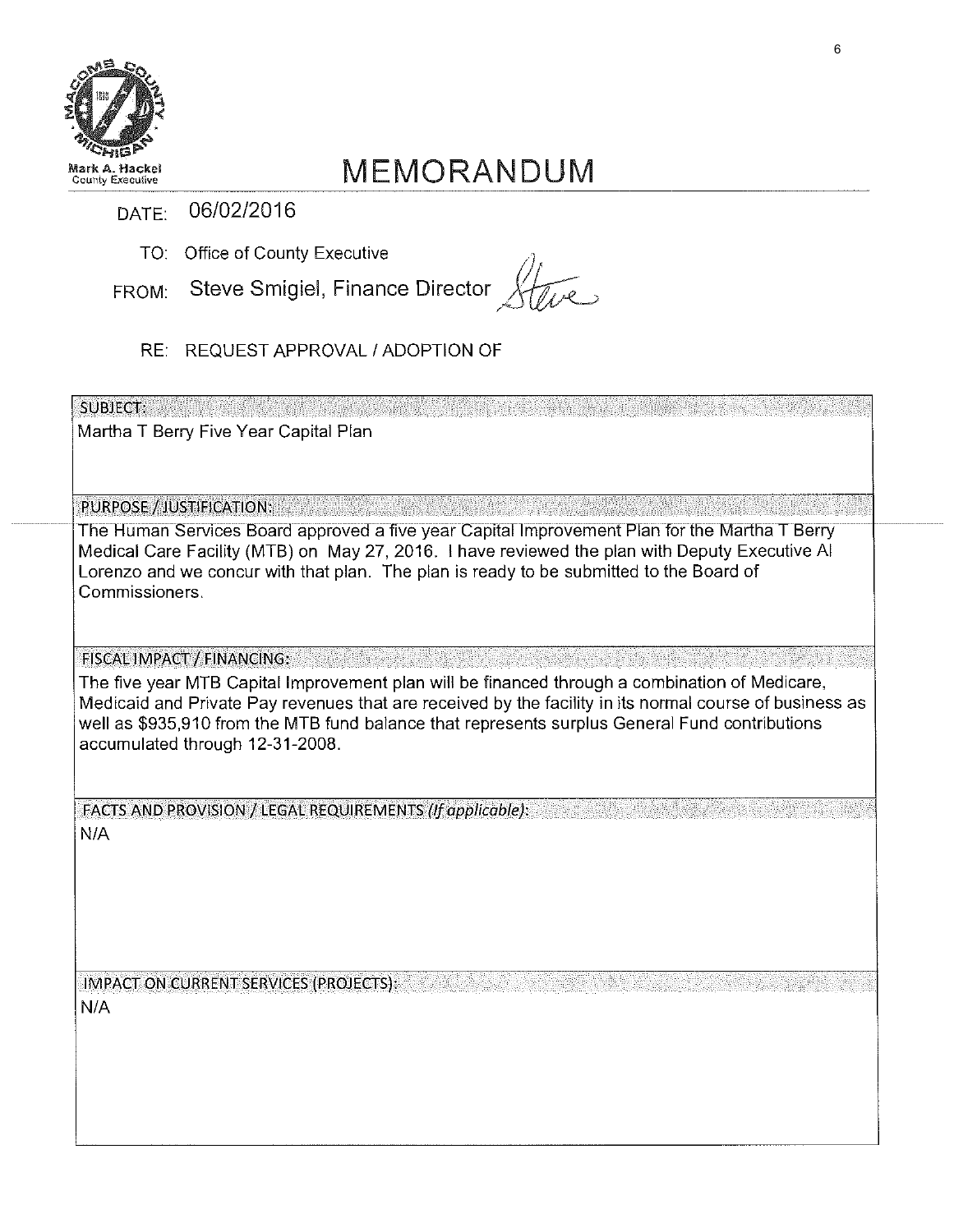

# MEMORANDUM

- DATE: 06/02/2016
	- TO: Office of County Executive  $\qquad \qquad \wedge$
- FROM: Steve Smigiel, Finance Director Xtre
	- RE: REQUEST APPROVAL I ADOPTION OF

 ${\sf SUBIECT:}$  .  $\qquad \qquad {\sf SUBIECT:}$ 

Martha T Berry Five Year Capital Plan

PURPOSE / JUSTIFICATION:

The Human Services Board approved a five year Capital Improvement Plan for the Martha T Berry Medical Care Facility (MTB) on May 27, 2016. I have reviewed the plan with Deputy Executive AI Lorenzo and we concur with that plan. The plan is ready to be submitted to the Board of Commissioners.

-\_-- - -- --- --------- -- ---- ... - -- ---\_- -

FISCAL IMPACT / FINANCING:

The five year MTB Capital Improvement plan will be financed through a combination of Medicare, Medicaid and Private Pay revenues that are received by the facility in its normal course of business as well as \$935,910 from the MTB fund balance that represents surplus General Fund contributions accumulated through 12-31-2008.

FACTS AND PROVISION/ LEGAL REQUIREMENTS *(if* applicable):

N/A

IMPACT ON CURRENT SERVICES (PROJECTS): N/A

-·---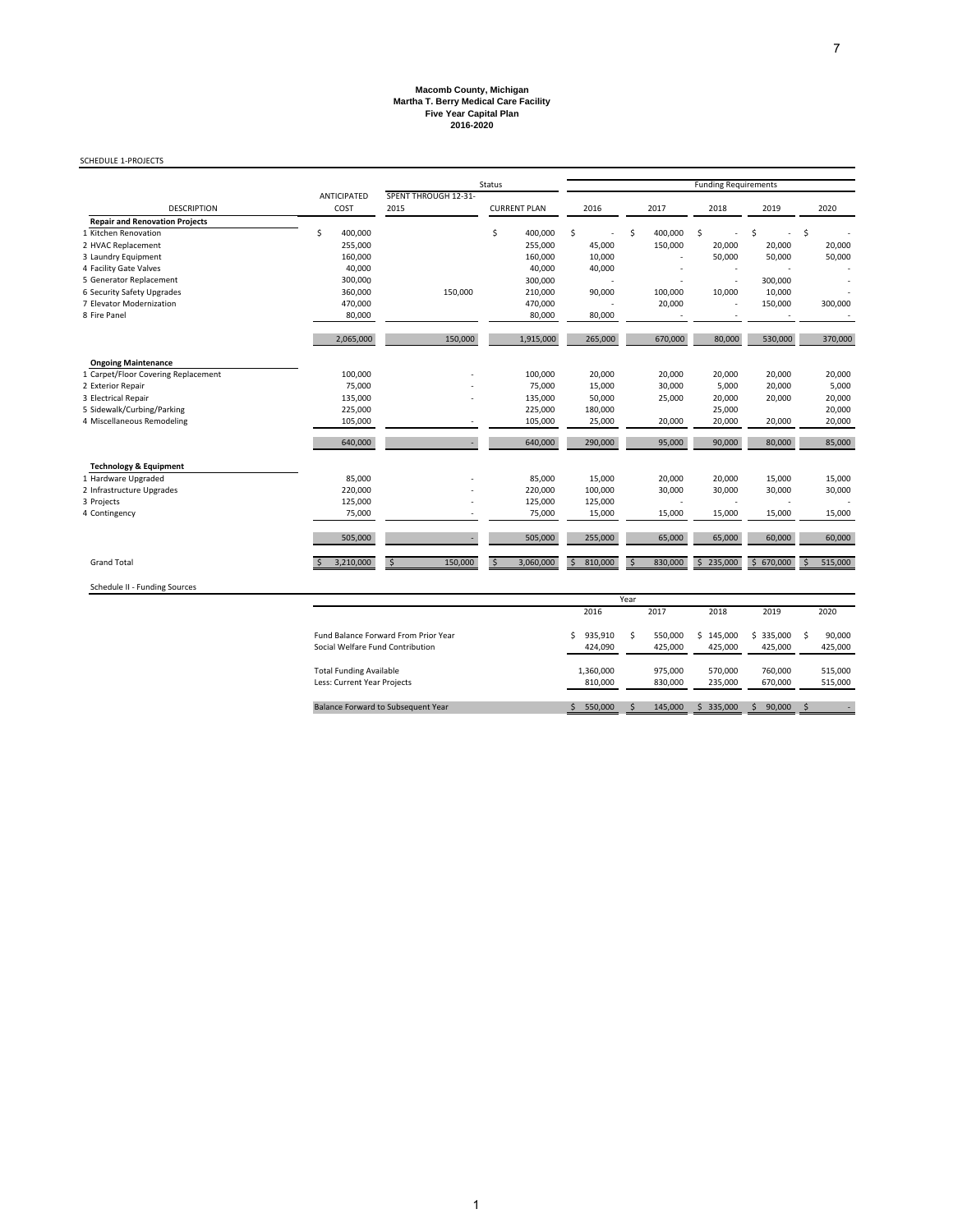# **Martha T. Berry Medical Care Facility Five Year Capital Plan 2016-2020 Macomb County, Michigan**

#### SCHEDULE 1‐PROJECTS

|                                       |                            |                              | Status              |               |                          |                                                                                                                                                                                                                                                                                                                                                                                                                                                                                                                                 |      |         |
|---------------------------------------|----------------------------|------------------------------|---------------------|---------------|--------------------------|---------------------------------------------------------------------------------------------------------------------------------------------------------------------------------------------------------------------------------------------------------------------------------------------------------------------------------------------------------------------------------------------------------------------------------------------------------------------------------------------------------------------------------|------|---------|
| <b>DESCRIPTION</b>                    | <b>ANTICIPATED</b><br>COST | SPENT THROUGH 12-31-<br>2015 | <b>CURRENT PLAN</b> | 2016          | 2017                     | <b>Funding Requirements</b><br>2018<br>2019<br>\$<br>Ŝ<br>$\overline{\phantom{a}}$<br>20,000<br>20,000<br>50,000<br>50,000<br>$\overline{\phantom{a}}$<br>300,000<br>$\overline{\phantom{a}}$<br>10,000<br>10,000<br>150,000<br>$\overline{\phantom{a}}$<br>80,000<br>530,000<br>20,000<br>20,000<br>5,000<br>20,000<br>20,000<br>20,000<br>25,000<br>20,000<br>20,000<br>90,000<br>80,000<br>20,000<br>15,000<br>30,000<br>30,000<br>٠<br>$\blacksquare$<br>15,000<br>15,000<br>65,000<br>60,000<br>235,000<br>\$670,000<br>\$ | 2020 |         |
| <b>Repair and Renovation Projects</b> |                            |                              |                     |               |                          |                                                                                                                                                                                                                                                                                                                                                                                                                                                                                                                                 |      |         |
| 1 Kitchen Renovation                  | \$<br>400,000              |                              | \$<br>400,000       | \$<br>ä,      | \$<br>400,000            |                                                                                                                                                                                                                                                                                                                                                                                                                                                                                                                                 |      | \$      |
| 2 HVAC Replacement                    | 255,000                    |                              | 255,000             | 45,000        | 150,000                  |                                                                                                                                                                                                                                                                                                                                                                                                                                                                                                                                 |      | 20,000  |
| 3 Laundry Equipment                   | 160,000                    |                              | 160,000             | 10,000        |                          |                                                                                                                                                                                                                                                                                                                                                                                                                                                                                                                                 |      | 50,000  |
| 4 Facility Gate Valves                | 40,000                     |                              | 40,000              | 40,000        |                          |                                                                                                                                                                                                                                                                                                                                                                                                                                                                                                                                 |      |         |
| 5 Generator Replacement               | 300,000                    |                              | 300,000             | ٠             |                          |                                                                                                                                                                                                                                                                                                                                                                                                                                                                                                                                 |      |         |
| 6 Security Safety Upgrades            | 360,000                    | 150,000                      | 210,000             | 90,000        | 100,000                  |                                                                                                                                                                                                                                                                                                                                                                                                                                                                                                                                 |      |         |
| 7 Elevator Modernization              | 470,000                    |                              | 470,000             |               | 20,000                   |                                                                                                                                                                                                                                                                                                                                                                                                                                                                                                                                 |      | 300,000 |
| 8 Fire Panel                          | 80,000                     |                              | 80,000              | 80,000        |                          |                                                                                                                                                                                                                                                                                                                                                                                                                                                                                                                                 |      |         |
|                                       |                            |                              |                     |               |                          |                                                                                                                                                                                                                                                                                                                                                                                                                                                                                                                                 |      |         |
|                                       | 2,065,000                  | 150,000                      | 1,915,000           | 265,000       | 670,000                  |                                                                                                                                                                                                                                                                                                                                                                                                                                                                                                                                 |      | 370,000 |
| <b>Ongoing Maintenance</b>            |                            |                              |                     |               |                          |                                                                                                                                                                                                                                                                                                                                                                                                                                                                                                                                 |      |         |
| 1 Carpet/Floor Covering Replacement   | 100,000                    |                              | 100,000             | 20,000        | 20,000                   |                                                                                                                                                                                                                                                                                                                                                                                                                                                                                                                                 |      | 20,000  |
| 2 Exterior Repair                     | 75,000                     |                              | 75,000              | 15,000        | 30,000                   |                                                                                                                                                                                                                                                                                                                                                                                                                                                                                                                                 |      | 5,000   |
| 3 Electrical Repair                   | 135,000                    |                              | 135,000             | 50,000        | 25,000                   |                                                                                                                                                                                                                                                                                                                                                                                                                                                                                                                                 |      | 20,000  |
| 5 Sidewalk/Curbing/Parking            | 225,000                    |                              | 225,000             | 180,000       |                          |                                                                                                                                                                                                                                                                                                                                                                                                                                                                                                                                 |      | 20,000  |
| 4 Miscellaneous Remodeling            | 105,000                    |                              | 105,000             | 25,000        | 20,000                   |                                                                                                                                                                                                                                                                                                                                                                                                                                                                                                                                 |      | 20,000  |
|                                       | 640,000                    |                              | 640,000             | 290,000       | 95,000                   |                                                                                                                                                                                                                                                                                                                                                                                                                                                                                                                                 |      | 85,000  |
| <b>Technology &amp; Equipment</b>     |                            |                              |                     |               |                          |                                                                                                                                                                                                                                                                                                                                                                                                                                                                                                                                 |      |         |
| 1 Hardware Upgraded                   | 85,000                     |                              | 85,000              | 15,000        | 20,000                   |                                                                                                                                                                                                                                                                                                                                                                                                                                                                                                                                 |      | 15,000  |
| 2 Infrastructure Upgrades             | 220,000                    |                              | 220,000             | 100,000       | 30,000                   |                                                                                                                                                                                                                                                                                                                                                                                                                                                                                                                                 |      | 30,000  |
| 3 Projects                            | 125,000                    |                              | 125,000             | 125,000       |                          |                                                                                                                                                                                                                                                                                                                                                                                                                                                                                                                                 |      |         |
| 4 Contingency                         | 75,000                     |                              | 75,000              | 15,000        | 15,000                   |                                                                                                                                                                                                                                                                                                                                                                                                                                                                                                                                 |      | 15,000  |
|                                       | 505,000                    |                              | 505,000             | 255,000       | 65,000                   |                                                                                                                                                                                                                                                                                                                                                                                                                                                                                                                                 |      | 60,000  |
|                                       |                            |                              |                     |               |                          |                                                                                                                                                                                                                                                                                                                                                                                                                                                                                                                                 |      |         |
| <b>Grand Total</b>                    | 3,210,000                  | 150,000<br>\$                | 3,060,000<br>S,     | 810,000<br>\$ | 830,000<br><sup>\$</sup> |                                                                                                                                                                                                                                                                                                                                                                                                                                                                                                                                 |      | 515,000 |

Schedule II ‐ Funding Sources

|                                                                                 |    |                      | Year |                    |   |                    |                      |   |                    |
|---------------------------------------------------------------------------------|----|----------------------|------|--------------------|---|--------------------|----------------------|---|--------------------|
|                                                                                 |    | 2016                 |      | 2017               |   | 2018               | 2019                 |   | 2020               |
| <b>Fund Balance Forward From Prior Year</b><br>Social Welfare Fund Contribution | Ś. | 935.910<br>424.090   | Ś.   | 550.000<br>425.000 | s | 145.000<br>425.000 | \$335.000<br>425.000 | Ŝ | 90,000<br>425,000  |
| <b>Total Funding Available</b><br>Less: Current Year Projects                   |    | 1.360.000<br>810.000 |      | 975.000<br>830.000 |   | 570.000<br>235.000 | 760,000<br>670.000   |   | 515,000<br>515,000 |
| Balance Forward to Subsequent Year                                              |    | 550,000              |      | 145,000            | ς | 335,000            | 90,000               | Ŝ |                    |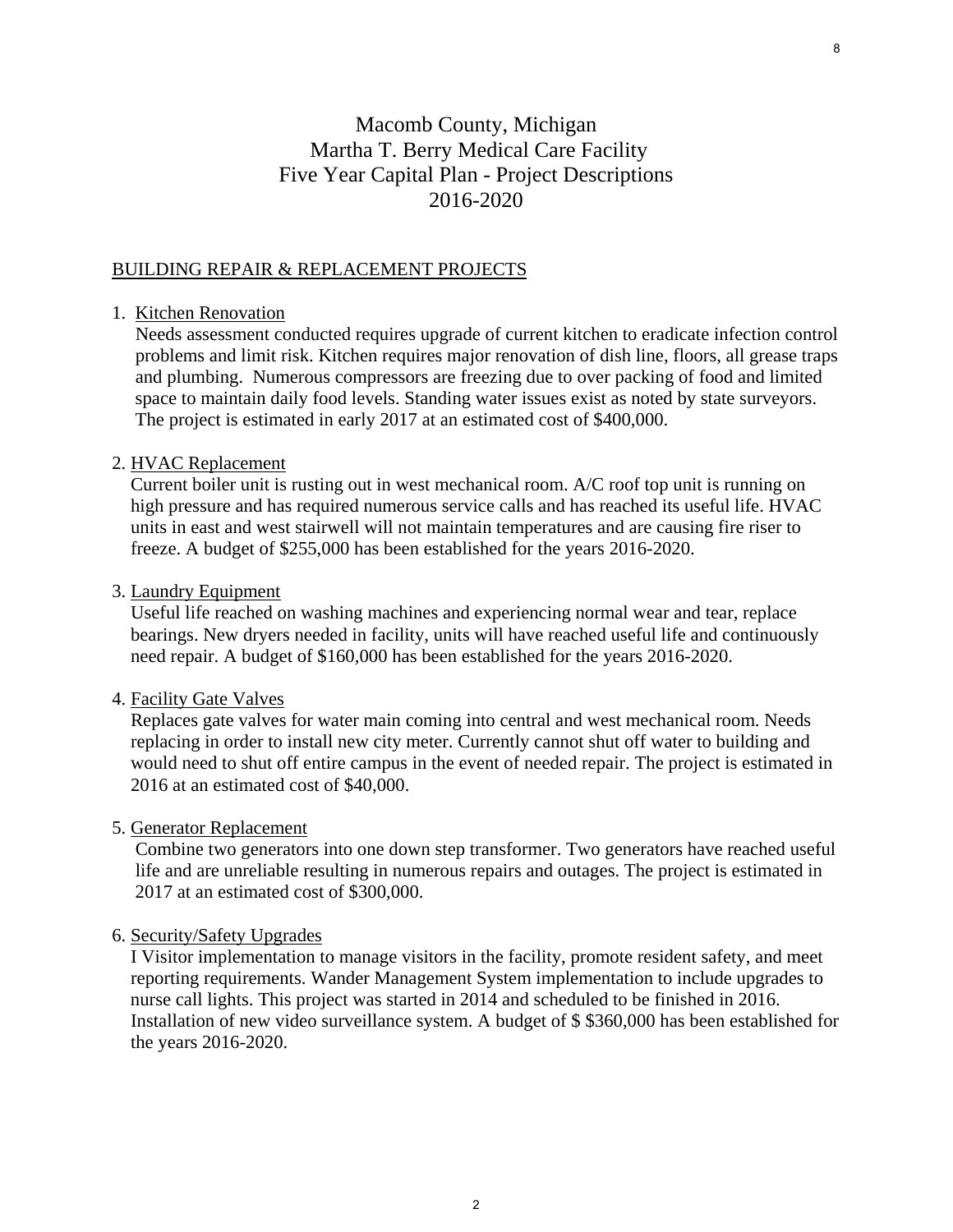# Macomb County, Michigan Martha T. Berry Medical Care Facility Five Year Capital Plan - Project Descriptions 2016-2020

### BUILDING REPAIR & REPLACEMENT PROJECTS

#### 1. Kitchen Renovation

 Needs assessment conducted requires upgrade of current kitchen to eradicate infection control problems and limit risk. Kitchen requires major renovation of dish line, floors, all grease traps and plumbing. Numerous compressors are freezing due to over packing of food and limited space to maintain daily food levels. Standing water issues exist as noted by state surveyors. The project is estimated in early 2017 at an estimated cost of \$400,000.

#### 2. HVAC Replacement

 Current boiler unit is rusting out in west mechanical room. A/C roof top unit is running on high pressure and has required numerous service calls and has reached its useful life. HVAC units in east and west stairwell will not maintain temperatures and are causing fire riser to freeze. A budget of \$255,000 has been established for the years 2016-2020.

#### 3. Laundry Equipment

 Useful life reached on washing machines and experiencing normal wear and tear, replace bearings. New dryers needed in facility, units will have reached useful life and continuously need repair. A budget of \$160,000 has been established for the years 2016-2020.

#### 4. Facility Gate Valves

 Replaces gate valves for water main coming into central and west mechanical room. Needs replacing in order to install new city meter. Currently cannot shut off water to building and would need to shut off entire campus in the event of needed repair. The project is estimated in 2016 at an estimated cost of \$40,000.

#### 5. Generator Replacement

 Combine two generators into one down step transformer. Two generators have reached useful life and are unreliable resulting in numerous repairs and outages. The project is estimated in 2017 at an estimated cost of \$300,000.

#### 6. Security/Safety Upgrades

 I Visitor implementation to manage visitors in the facility, promote resident safety, and meet reporting requirements. Wander Management System implementation to include upgrades to nurse call lights. This project was started in 2014 and scheduled to be finished in 2016. Installation of new video surveillance system. A budget of \$ \$360,000 has been established for the years 2016-2020.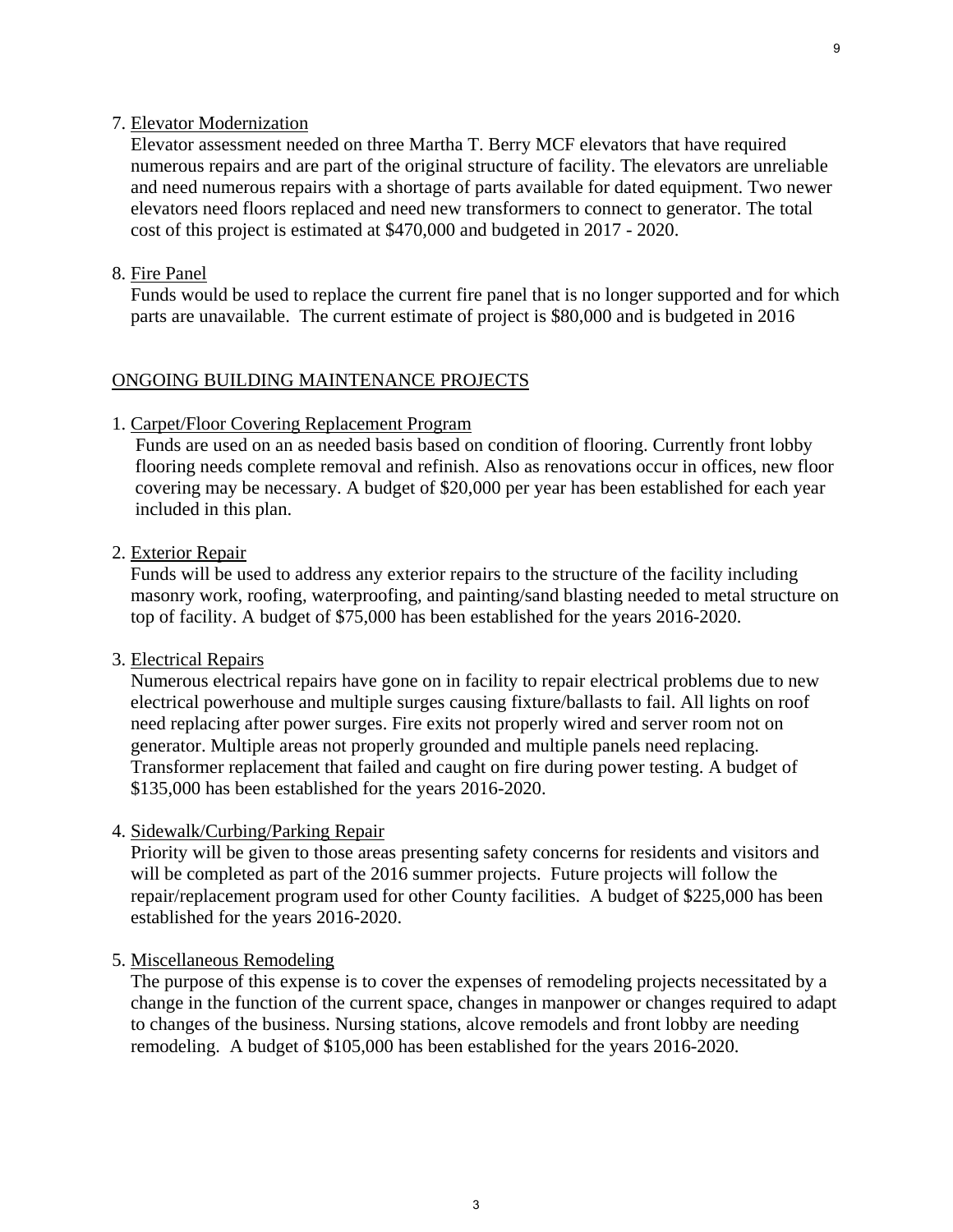#### 7. Elevator Modernization

 Elevator assessment needed on three Martha T. Berry MCF elevators that have required numerous repairs and are part of the original structure of facility. The elevators are unreliable and need numerous repairs with a shortage of parts available for dated equipment. Two newer elevators need floors replaced and need new transformers to connect to generator. The total cost of this project is estimated at \$470,000 and budgeted in 2017 - 2020.

### 8. Fire Panel

Funds would be used to replace the current fire panel that is no longer supported and for which parts are unavailable. The current estimate of project is \$80,000 and is budgeted in 2016

#### ONGOING BUILDING MAINTENANCE PROJECTS

#### 1. Carpet/Floor Covering Replacement Program

 Funds are used on an as needed basis based on condition of flooring. Currently front lobby flooring needs complete removal and refinish. Also as renovations occur in offices, new floor covering may be necessary. A budget of \$20,000 per year has been established for each year included in this plan.

#### 2. Exterior Repair

 Funds will be used to address any exterior repairs to the structure of the facility including masonry work, roofing, waterproofing, and painting/sand blasting needed to metal structure on top of facility. A budget of \$75,000 has been established for the years 2016-2020.

#### 3. Electrical Repairs

 Numerous electrical repairs have gone on in facility to repair electrical problems due to new electrical powerhouse and multiple surges causing fixture/ballasts to fail. All lights on roof need replacing after power surges. Fire exits not properly wired and server room not on generator. Multiple areas not properly grounded and multiple panels need replacing. Transformer replacement that failed and caught on fire during power testing. A budget of \$135,000 has been established for the years 2016-2020.

#### 4. Sidewalk/Curbing/Parking Repair

 Priority will be given to those areas presenting safety concerns for residents and visitors and will be completed as part of the 2016 summer projects. Future projects will follow the repair/replacement program used for other County facilities. A budget of \$225,000 has been established for the years 2016-2020.

#### 5. Miscellaneous Remodeling

 The purpose of this expense is to cover the expenses of remodeling projects necessitated by a change in the function of the current space, changes in manpower or changes required to adapt to changes of the business. Nursing stations, alcove remodels and front lobby are needing remodeling. A budget of \$105,000 has been established for the years 2016-2020.